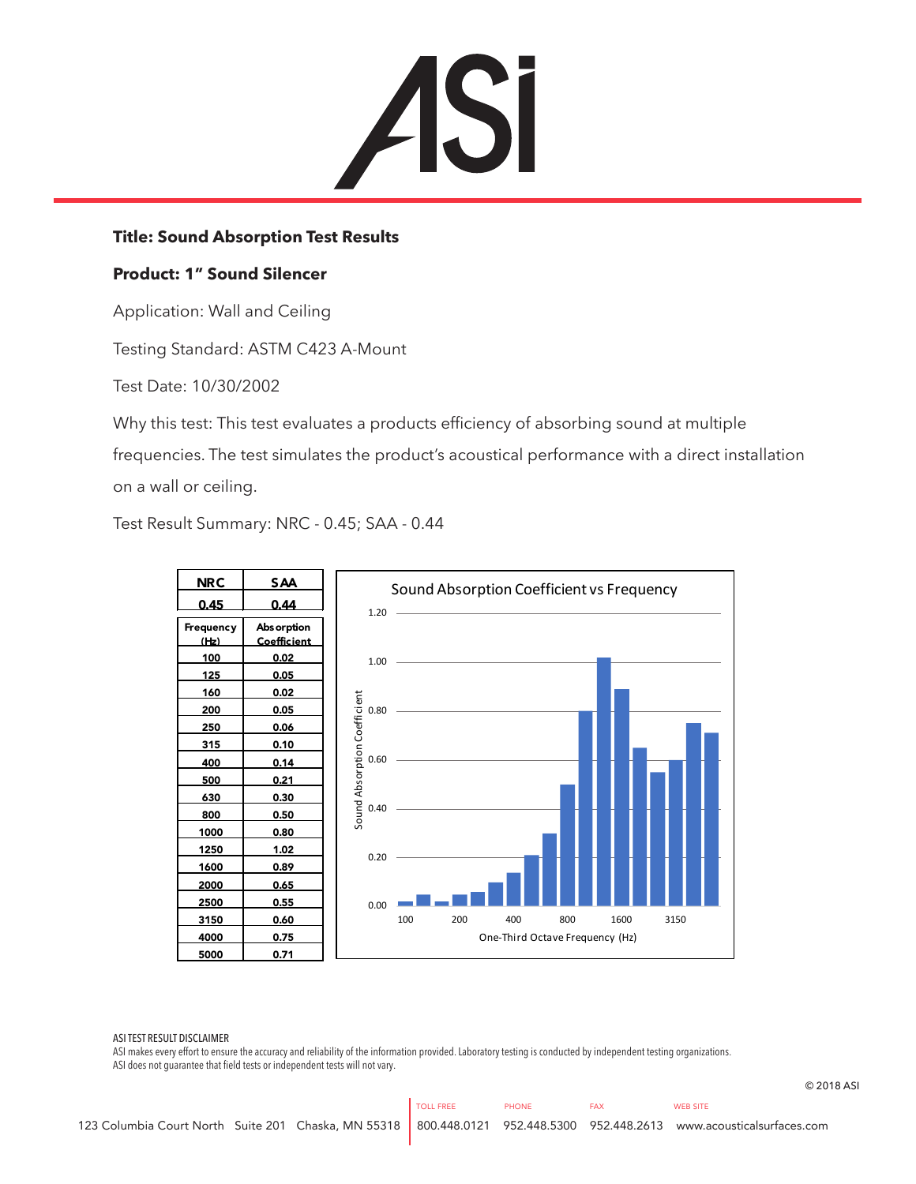

## **Title: Sound Absorption Test Results**

## **Product: 1" Sound Silencer**

Application: Wall and Ceiling

Testing Standard: ASTM C423 A-Mount

Test Date: 10/30/2002

Why this test: This test evaluates a products efficiency of absorbing sound at multiple frequencies. The test simulates the product's acoustical performance with a direct installation on a wall or ceiling.

Test Result Summary: NRC - 0.45; SAA - 0.44



ASI TEST RESULT DISCLAIMER

ASI makes every effort to ensure the accuracy and reliability of the information provided. Laboratory testing is conducted by independent testing organizations. ASI does not guarantee that field tests or independent tests will not vary.

© 2018 ASI